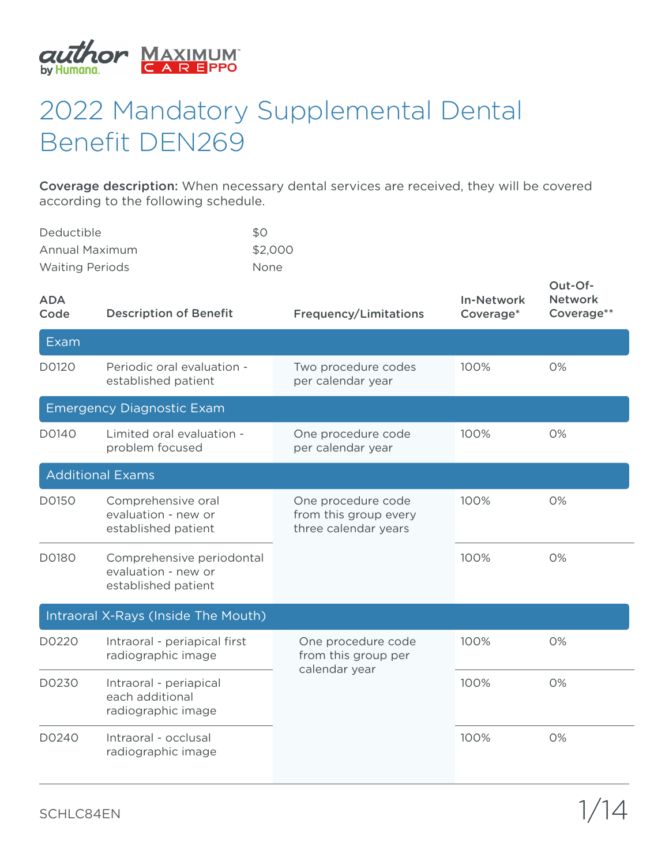

## 2022 Mandatory Supplemental Dental Benefit DEN269

Coverage description: When necessary dental services are received, they will be covered according to the following schedule.

| Deductible             | \$0         |
|------------------------|-------------|
| Annual Maximum         | \$2,000     |
| <b>Waiting Periods</b> | <b>None</b> |

| <b>ADA</b><br>Code | <b>Description of Benefit</b>                                           | <b>Frequency/Limitations</b>                                        | <b>In-Network</b><br>Coverage* | Out-Of-<br><b>Network</b><br>Coverage** |
|--------------------|-------------------------------------------------------------------------|---------------------------------------------------------------------|--------------------------------|-----------------------------------------|
| Exam               |                                                                         |                                                                     |                                |                                         |
| D0120              | Periodic oral evaluation -<br>established patient                       | Two procedure codes<br>per calendar year                            | 100%                           | 0%                                      |
|                    | <b>Emergency Diagnostic Exam</b>                                        |                                                                     |                                |                                         |
| D0140              | Limited oral evaluation -<br>problem focused                            | One procedure code<br>per calendar year                             | 100%                           | 0%                                      |
|                    | <b>Additional Exams</b>                                                 |                                                                     |                                |                                         |
| D0150              | Comprehensive oral<br>evaluation - new or<br>established patient        | One procedure code<br>from this group every<br>three calendar years | 100%                           | 0%                                      |
| D0180              | Comprehensive periodontal<br>evaluation - new or<br>established patient |                                                                     | 100%                           | 0%                                      |
|                    | Intraoral X-Rays (Inside The Mouth)                                     |                                                                     |                                |                                         |
| D0220              | Intraoral - periapical first<br>radiographic image                      | One procedure code<br>from this group per                           | 100%                           | 0%                                      |
| D0230              | Intraoral - periapical<br>each additional<br>radiographic image         | calendar year                                                       | 100%                           | 0%                                      |
| D0240              | Intraoral - occlusal<br>radiographic image                              |                                                                     | 100%                           | 0%                                      |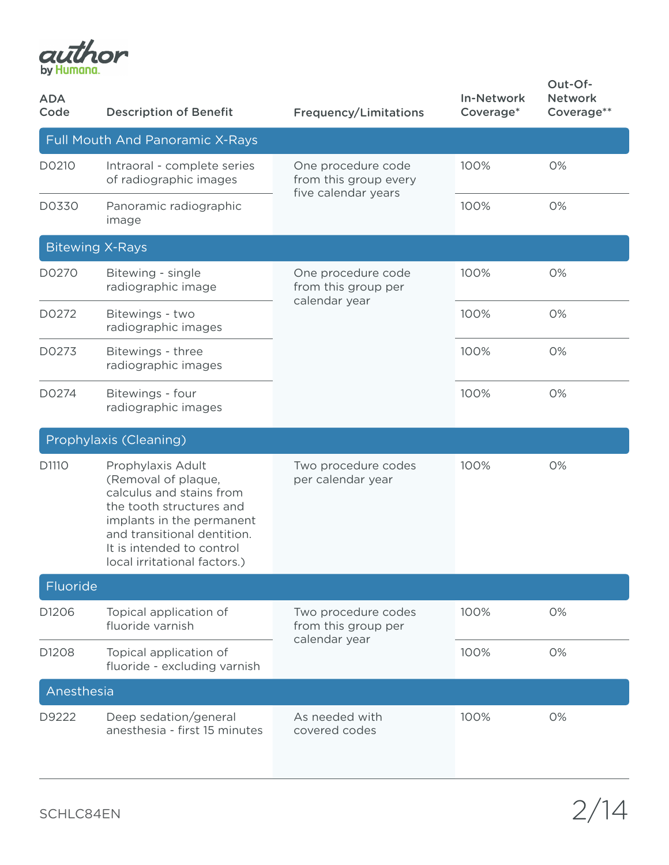

| <b>ADA</b><br>Code | <b>Description of Benefit</b>                                                                                                                                                                                             | <b>Frequency/Limitations</b>                                       | <b>In-Network</b><br>Coverage* | Out-Of-<br><b>Network</b><br>Coverage** |
|--------------------|---------------------------------------------------------------------------------------------------------------------------------------------------------------------------------------------------------------------------|--------------------------------------------------------------------|--------------------------------|-----------------------------------------|
|                    | <b>Full Mouth And Panoramic X-Rays</b>                                                                                                                                                                                    |                                                                    |                                |                                         |
| D0210              | Intraoral - complete series<br>of radiographic images                                                                                                                                                                     | One procedure code<br>from this group every<br>five calendar years | 100%                           | 0%                                      |
| D0330              | Panoramic radiographic<br>image                                                                                                                                                                                           |                                                                    | 100%                           | 0%                                      |
|                    | <b>Bitewing X-Rays</b>                                                                                                                                                                                                    |                                                                    |                                |                                         |
| D0270              | Bitewing - single<br>radiographic image                                                                                                                                                                                   | One procedure code<br>from this group per<br>calendar year         | 100%                           | 0%                                      |
| D0272              | Bitewings - two<br>radiographic images                                                                                                                                                                                    |                                                                    | 100%                           | 0%                                      |
| D0273              | Bitewings - three<br>radiographic images                                                                                                                                                                                  |                                                                    | 100%                           | 0%                                      |
| D0274              | Bitewings - four<br>radiographic images                                                                                                                                                                                   |                                                                    | 100%                           | 0%                                      |
|                    | Prophylaxis (Cleaning)                                                                                                                                                                                                    |                                                                    |                                |                                         |
| D1110              | Prophylaxis Adult<br>(Removal of plaque,<br>calculus and stains from<br>the tooth structures and<br>implants in the permanent<br>and transitional dentition.<br>It is intended to control<br>local irritational factors.) | Two procedure codes<br>per calendar year                           | 100%                           | 0%                                      |
| Fluoride           |                                                                                                                                                                                                                           |                                                                    |                                |                                         |
| D1206              | Topical application of<br>fluoride varnish                                                                                                                                                                                | Two procedure codes<br>from this group per<br>calendar year        | 100%                           | 0%                                      |
| D1208              | Topical application of<br>fluoride - excluding varnish                                                                                                                                                                    |                                                                    | 100%                           | 0%                                      |
| Anesthesia         |                                                                                                                                                                                                                           |                                                                    |                                |                                         |
| D9222              | Deep sedation/general<br>anesthesia - first 15 minutes                                                                                                                                                                    | As needed with<br>covered codes                                    | 100%                           | 0%                                      |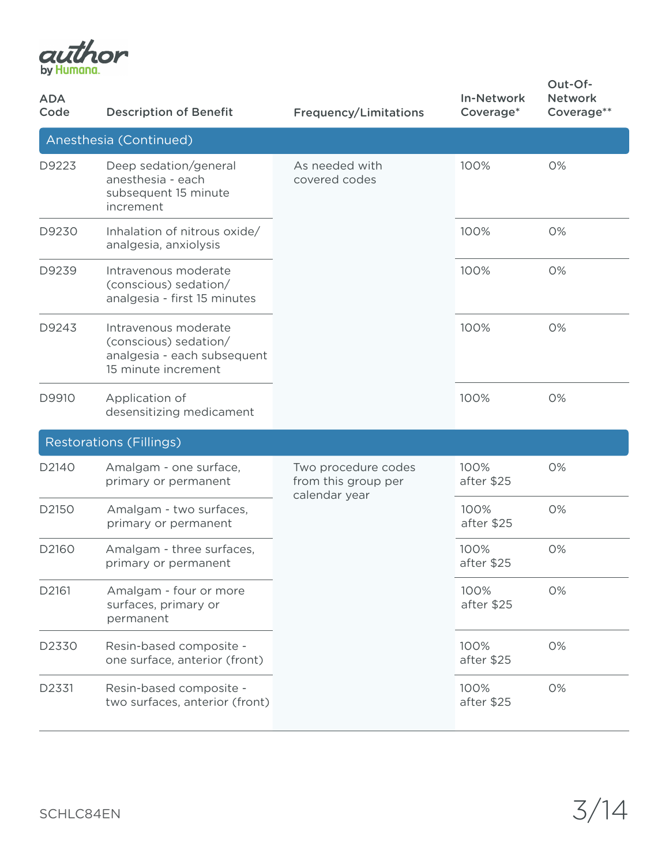

| <b>ADA</b><br>Code | <b>Description of Benefit</b>                                                                       | <b>Frequency/Limitations</b>                                | <b>In-Network</b><br>Coverage* | Out-Of-<br><b>Network</b><br>Coverage** |
|--------------------|-----------------------------------------------------------------------------------------------------|-------------------------------------------------------------|--------------------------------|-----------------------------------------|
|                    | Anesthesia (Continued)                                                                              |                                                             |                                |                                         |
| D9223              | Deep sedation/general<br>anesthesia - each<br>subsequent 15 minute<br>increment                     | As needed with<br>covered codes                             | 100%                           | 0%                                      |
| D9230              | Inhalation of nitrous oxide/<br>analgesia, anxiolysis                                               |                                                             | 100%                           | 0%                                      |
| D9239              | Intravenous moderate<br>(conscious) sedation/<br>analgesia - first 15 minutes                       |                                                             | 100%                           | 0%                                      |
| D9243              | Intravenous moderate<br>(conscious) sedation/<br>analgesia - each subsequent<br>15 minute increment |                                                             | 100%                           | 0%                                      |
| D9910              | Application of<br>desensitizing medicament                                                          |                                                             | 100%                           | 0%                                      |
|                    | <b>Restorations (Fillings)</b>                                                                      |                                                             |                                |                                         |
| D2140              | Amalgam - one surface,<br>primary or permanent                                                      | Two procedure codes<br>from this group per<br>calendar year | 100%<br>after \$25             | 0%                                      |
| D2150              | Amalgam - two surfaces,<br>primary or permanent                                                     |                                                             | 100%<br>after \$25             | 0%                                      |
| D2160              | Amalgam - three surfaces,<br>primary or permanent                                                   |                                                             | 100%<br>after \$25             | 0%                                      |
| D2161              | Amalgam - four or more<br>surfaces, primary or<br>permanent                                         |                                                             | 100%<br>after \$25             | 0%                                      |
| D2330              | Resin-based composite -<br>one surface, anterior (front)                                            |                                                             | 100%<br>after \$25             | 0%                                      |
| D2331              | Resin-based composite -<br>two surfaces, anterior (front)                                           |                                                             | 100%<br>after \$25             | 0%                                      |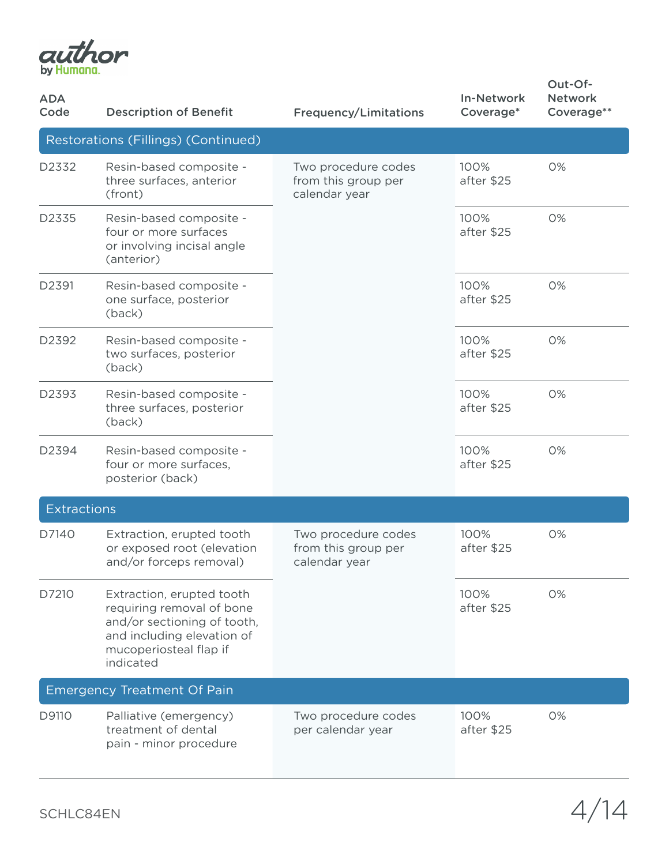

| <b>ADA</b><br>Code | <b>Description of Benefit</b>                                                                                                                              | <b>Frequency/Limitations</b>                                | <b>In-Network</b><br>Coverage* | Out-Of-<br><b>Network</b><br>Coverage** |
|--------------------|------------------------------------------------------------------------------------------------------------------------------------------------------------|-------------------------------------------------------------|--------------------------------|-----------------------------------------|
|                    | Restorations (Fillings) (Continued)                                                                                                                        |                                                             |                                |                                         |
| D2332              | Resin-based composite -<br>three surfaces, anterior<br>(front)                                                                                             | Two procedure codes<br>from this group per<br>calendar year | 100%<br>after \$25             | 0%                                      |
| D2335              | Resin-based composite -<br>four or more surfaces<br>or involving incisal angle<br>(anterior)                                                               |                                                             | 100%<br>after \$25             | 0%                                      |
| D2391              | Resin-based composite -<br>one surface, posterior<br>(back)                                                                                                |                                                             | 100%<br>after \$25             | 0%                                      |
| D2392              | Resin-based composite -<br>two surfaces, posterior<br>(back)                                                                                               |                                                             | 100%<br>after \$25             | 0%                                      |
| D2393              | Resin-based composite -<br>three surfaces, posterior<br>(back)                                                                                             |                                                             | 100%<br>after \$25             | 0%                                      |
| D2394              | Resin-based composite -<br>four or more surfaces,<br>posterior (back)                                                                                      |                                                             | 100%<br>after \$25             | 0%                                      |
| <b>Extractions</b> |                                                                                                                                                            |                                                             |                                |                                         |
| D7140              | Extraction, erupted tooth<br>or exposed root (elevation<br>and/or forceps removal)                                                                         | Two procedure codes<br>from this group per<br>calendar year | 100%<br>after \$25             | 0%                                      |
| D7210              | Extraction, erupted tooth<br>requiring removal of bone<br>and/or sectioning of tooth,<br>and including elevation of<br>mucoperiosteal flap if<br>indicated |                                                             | 100%<br>after \$25             | 0%                                      |
|                    | <b>Emergency Treatment Of Pain</b>                                                                                                                         |                                                             |                                |                                         |
| D9110              | Palliative (emergency)<br>treatment of dental<br>pain - minor procedure                                                                                    | Two procedure codes<br>per calendar year                    | 100%<br>after \$25             | 0%                                      |

SCHLC84EN  $4/14$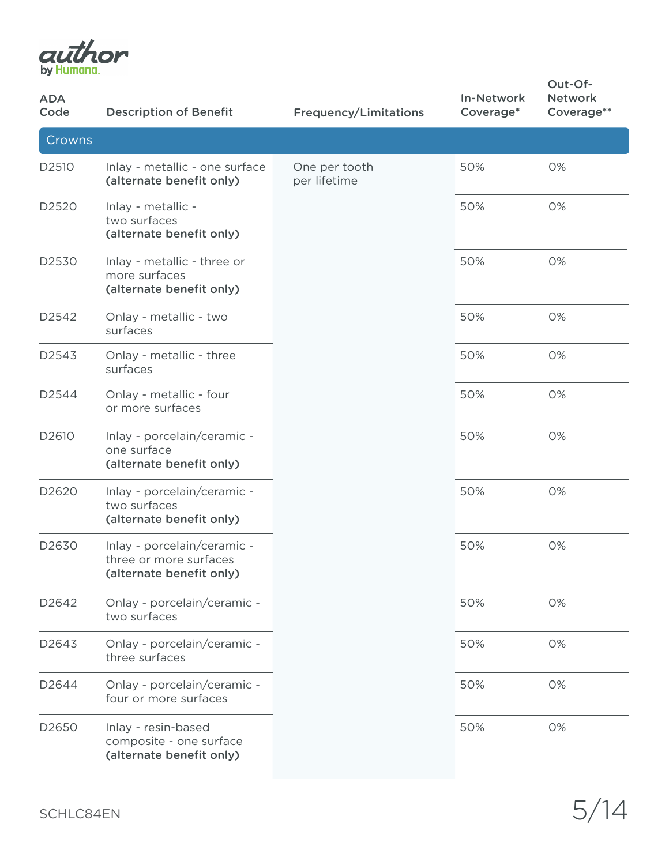

| <b>ADA</b><br>Code | <b>Description of Benefit</b>                                                     | <b>Frequency/Limitations</b>  | <b>In-Network</b><br>Coverage* | Out-Of-<br><b>Network</b><br>Coverage** |
|--------------------|-----------------------------------------------------------------------------------|-------------------------------|--------------------------------|-----------------------------------------|
| Crowns             |                                                                                   |                               |                                |                                         |
| D2510              | Inlay - metallic - one surface<br>(alternate benefit only)                        | One per tooth<br>per lifetime | 50%                            | 0%                                      |
| D2520              | Inlay - metallic -<br>two surfaces<br>(alternate benefit only)                    |                               | 50%                            | 0%                                      |
| D2530              | Inlay - metallic - three or<br>more surfaces<br>(alternate benefit only)          |                               | 50%                            | 0%                                      |
| D2542              | Onlay - metallic - two<br>surfaces                                                |                               | 50%                            | 0%                                      |
| D2543              | Onlay - metallic - three<br>surfaces                                              |                               | 50%                            | 0%                                      |
| D2544              | Onlay - metallic - four<br>or more surfaces                                       |                               | 50%                            | 0%                                      |
| D2610              | Inlay - porcelain/ceramic -<br>one surface<br>(alternate benefit only)            |                               | 50%                            | 0%                                      |
| D <sub>2620</sub>  | Inlay - porcelain/ceramic -<br>two surfaces<br>(alternate benefit only)           |                               | 50%                            | 0%                                      |
| D2630              | Inlay - porcelain/ceramic -<br>three or more surfaces<br>(alternate benefit only) |                               | 50%                            | 0%                                      |
| D2642              | Onlay - porcelain/ceramic -<br>two surfaces                                       |                               | 50%                            | 0%                                      |
| D2643              | Onlay - porcelain/ceramic -<br>three surfaces                                     |                               | 50%                            | 0%                                      |
| D2644              | Onlay - porcelain/ceramic -<br>four or more surfaces                              |                               | 50%                            | 0%                                      |
| D2650              | Inlay - resin-based<br>composite - one surface<br>(alternate benefit only)        |                               | 50%                            | 0%                                      |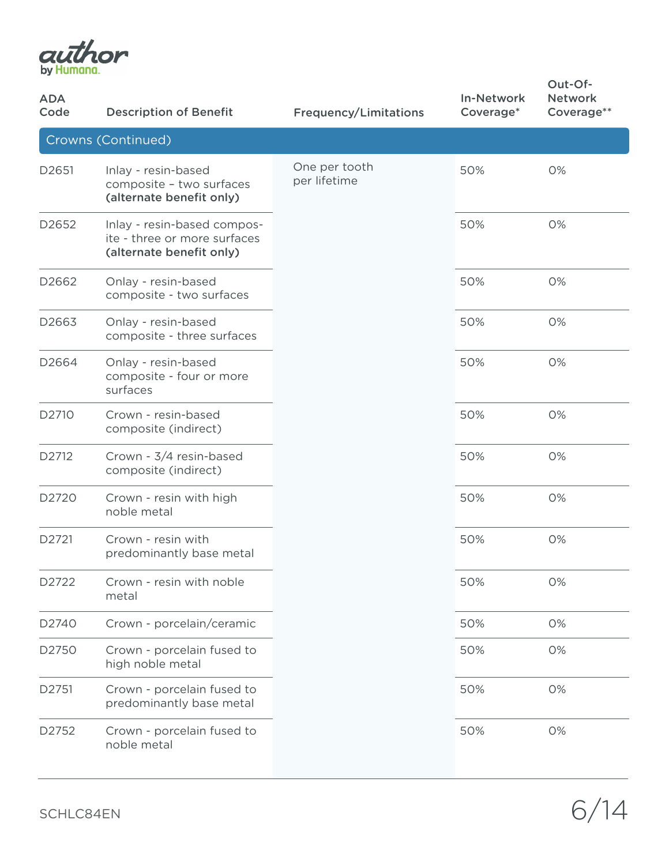

| <b>ADA</b><br>Code | <b>Description of Benefit</b>                                                           | <b>Frequency/Limitations</b>  | <b>In-Network</b><br>Coverage* | Out-Of-<br><b>Network</b><br>Coverage** |
|--------------------|-----------------------------------------------------------------------------------------|-------------------------------|--------------------------------|-----------------------------------------|
|                    | Crowns (Continued)                                                                      |                               |                                |                                         |
| D2651              | Inlay - resin-based<br>composite - two surfaces<br>(alternate benefit only)             | One per tooth<br>per lifetime | 50%                            | 0%                                      |
| D2652              | Inlay - resin-based compos-<br>ite - three or more surfaces<br>(alternate benefit only) |                               | 50%                            | 0%                                      |
| D2662              | Onlay - resin-based<br>composite - two surfaces                                         |                               | 50%                            | 0%                                      |
| D2663              | Onlay - resin-based<br>composite - three surfaces                                       |                               | 50%                            | 0%                                      |
| D2664              | Onlay - resin-based<br>composite - four or more<br>surfaces                             |                               | 50%                            | 0%                                      |
| D2710              | Crown - resin-based<br>composite (indirect)                                             |                               | 50%                            | 0%                                      |
| D2712              | Crown - 3/4 resin-based<br>composite (indirect)                                         |                               | 50%                            | 0%                                      |
| D2720              | Crown - resin with high<br>noble metal                                                  |                               | 50%                            | 0%                                      |
| D2721              | Crown - resin with<br>predominantly base metal                                          |                               | 50%                            | 0%                                      |
| D2722              | Crown - resin with noble<br>metal                                                       |                               | 50%                            | 0%                                      |
| D2740              | Crown - porcelain/ceramic                                                               |                               | 50%                            | 0%                                      |
| D2750              | Crown - porcelain fused to<br>high noble metal                                          |                               | 50%                            | 0%                                      |
| D2751              | Crown - porcelain fused to<br>predominantly base metal                                  |                               | 50%                            | 0%                                      |
| D2752              | Crown - porcelain fused to<br>noble metal                                               |                               | 50%                            | 0%                                      |

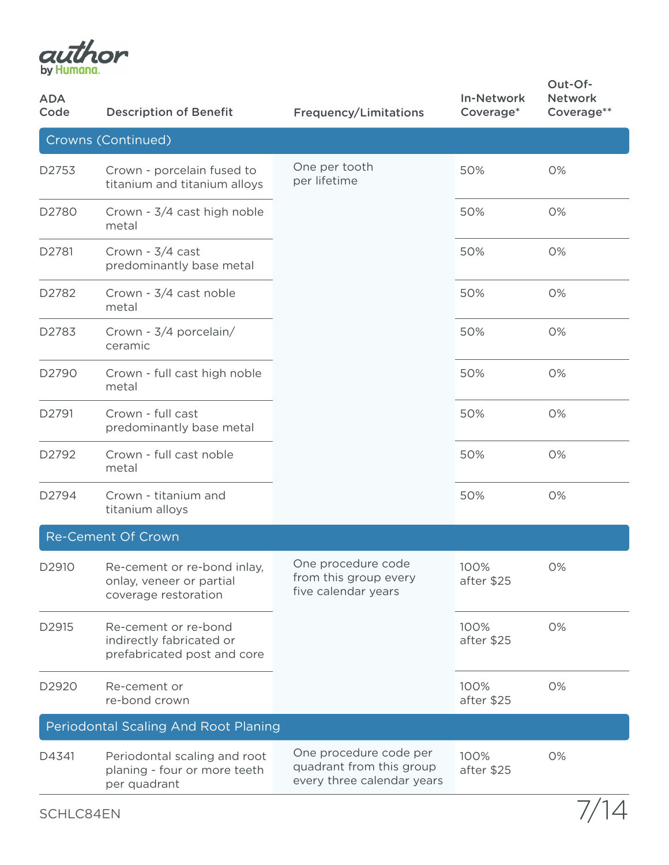

| <b>ADA</b><br>Code | <b>Description of Benefit</b>                                                   | <b>Frequency/Limitations</b>                                                     | <b>In-Network</b><br>Coverage* | Out-Of-<br><b>Network</b><br>Coverage** |
|--------------------|---------------------------------------------------------------------------------|----------------------------------------------------------------------------------|--------------------------------|-----------------------------------------|
|                    | Crowns (Continued)                                                              |                                                                                  |                                |                                         |
| D2753              | Crown - porcelain fused to<br>titanium and titanium alloys                      | One per tooth<br>per lifetime                                                    | 50%                            | 0%                                      |
| D <sub>2780</sub>  | Crown - 3/4 cast high noble<br>metal                                            |                                                                                  | 50%                            | 0%                                      |
| D2781              | Crown - 3/4 cast<br>predominantly base metal                                    |                                                                                  | 50%                            | 0%                                      |
| D2782              | Crown - 3/4 cast noble<br>metal                                                 |                                                                                  | 50%                            | 0%                                      |
| D2783              | Crown - 3/4 porcelain/<br>ceramic                                               |                                                                                  | 50%                            | 0%                                      |
| D2790              | Crown - full cast high noble<br>metal                                           |                                                                                  | 50%                            | 0%                                      |
| D2791              | Crown - full cast<br>predominantly base metal                                   |                                                                                  | 50%                            | 0%                                      |
| D2792              | Crown - full cast noble<br>metal                                                |                                                                                  | 50%                            | 0%                                      |
| D2794              | Crown - titanium and<br>titanium alloys                                         |                                                                                  | 50%                            | 0%                                      |
|                    | <b>Re-Cement Of Crown</b>                                                       |                                                                                  |                                |                                         |
| D2910              | Re-cement or re-bond inlay,<br>onlay, veneer or partial<br>coverage restoration | One procedure code<br>from this group every<br>five calendar years               | 100%<br>after \$25             | 0%                                      |
| D2915              | Re-cement or re-bond<br>indirectly fabricated or<br>prefabricated post and core |                                                                                  | 100%<br>after \$25             | 0%                                      |
| D2920              | Re-cement or<br>re-bond crown                                                   |                                                                                  | 100%<br>after \$25             | 0%                                      |
|                    | Periodontal Scaling And Root Planing                                            |                                                                                  |                                |                                         |
| D4341              | Periodontal scaling and root<br>planing - four or more teeth<br>per quadrant    | One procedure code per<br>quadrant from this group<br>every three calendar years | 100%<br>after \$25             | 0%                                      |
| SCHLC84EN          |                                                                                 |                                                                                  |                                |                                         |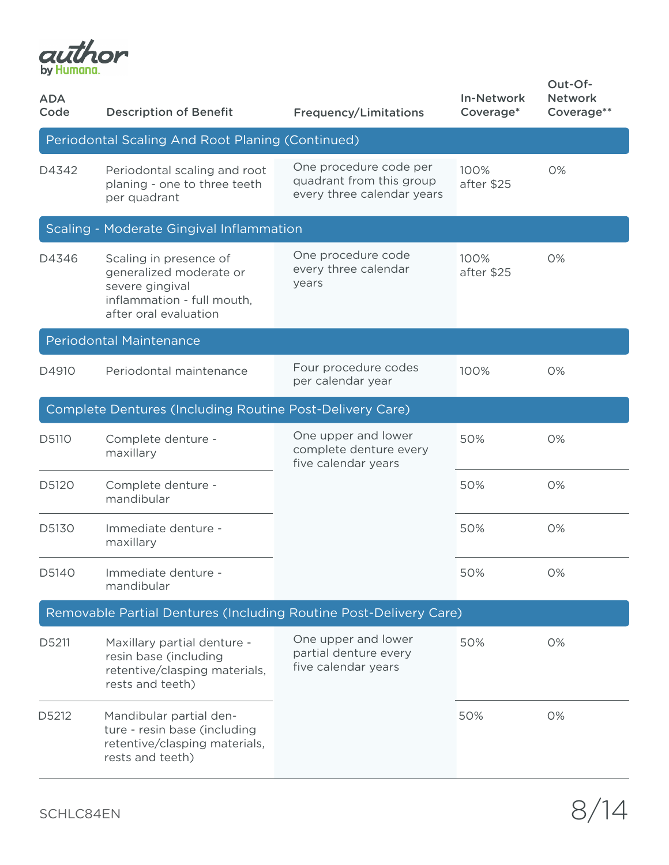

| <b>ADA</b><br>Code | <b>Description of Benefit</b>                                                                                               | <b>Frequency/Limitations</b>                                                     | <b>In-Network</b><br>Coverage* | Out-Of-<br><b>Network</b><br>Coverage** |
|--------------------|-----------------------------------------------------------------------------------------------------------------------------|----------------------------------------------------------------------------------|--------------------------------|-----------------------------------------|
|                    | Periodontal Scaling And Root Planing (Continued)                                                                            |                                                                                  |                                |                                         |
| D4342              | Periodontal scaling and root<br>planing - one to three teeth<br>per quadrant                                                | One procedure code per<br>quadrant from this group<br>every three calendar years | 100%<br>after \$25             | 0%                                      |
|                    | Scaling - Moderate Gingival Inflammation                                                                                    |                                                                                  |                                |                                         |
| D4346              | Scaling in presence of<br>generalized moderate or<br>severe gingival<br>inflammation - full mouth,<br>after oral evaluation | One procedure code<br>every three calendar<br>years                              | 100%<br>after \$25             | 0%                                      |
|                    | <b>Periodontal Maintenance</b>                                                                                              |                                                                                  |                                |                                         |
| D4910              | Periodontal maintenance                                                                                                     | Four procedure codes<br>per calendar year                                        | 100%                           | 0%                                      |
|                    | Complete Dentures (Including Routine Post-Delivery Care)                                                                    |                                                                                  |                                |                                         |
| D5110              | Complete denture -<br>maxillary                                                                                             | One upper and lower<br>complete denture every<br>five calendar years             | 50%                            | 0%                                      |
| D5120              | Complete denture -<br>mandibular                                                                                            |                                                                                  | 50%                            | 0%                                      |
| D5130              | Immediate denture -<br>maxillary                                                                                            |                                                                                  | 50%                            | 0%                                      |
| D5140              | Immediate denture -<br>mandibular                                                                                           |                                                                                  | 50%                            | 0%                                      |
|                    | Removable Partial Dentures (Including Routine Post-Delivery Care)                                                           |                                                                                  |                                |                                         |
| D5211              | Maxillary partial denture -<br>resin base (including<br>retentive/clasping materials,<br>rests and teeth)                   | One upper and lower<br>partial denture every<br>five calendar years              | 50%                            | 0%                                      |
| D5212              | Mandibular partial den-<br>ture - resin base (including<br>retentive/clasping materials,<br>rests and teeth)                |                                                                                  | 50%                            | 0%                                      |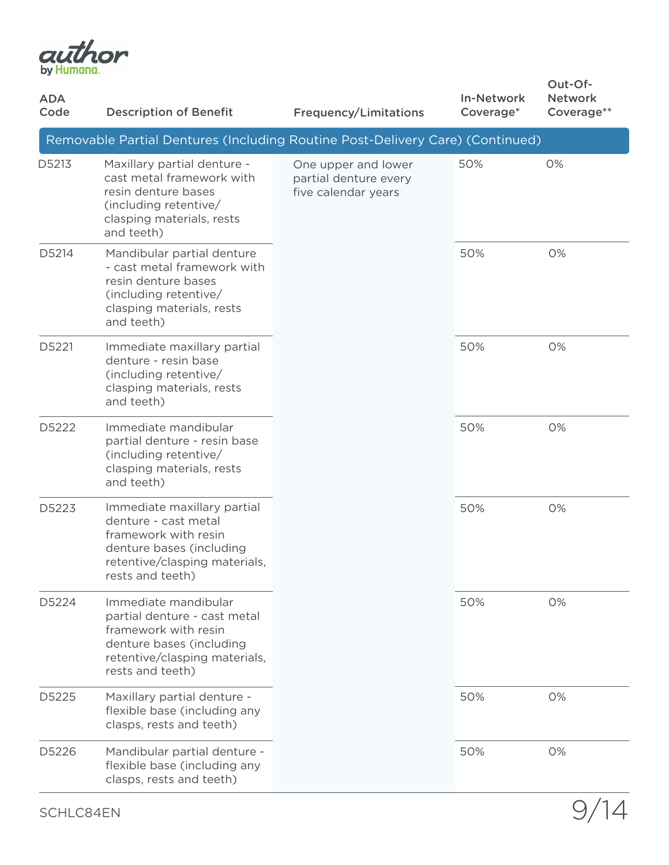

| <b>ADA</b><br>Code | <b>Description of Benefit</b>                                                                                                                                 | <b>Frequency/Limitations</b>                                        | <b>In-Network</b><br>Coverage* | Out-Of-<br><b>Network</b><br>Coverage** |
|--------------------|---------------------------------------------------------------------------------------------------------------------------------------------------------------|---------------------------------------------------------------------|--------------------------------|-----------------------------------------|
|                    | Removable Partial Dentures (Including Routine Post-Delivery Care) (Continued)                                                                                 |                                                                     |                                |                                         |
| D5213              | Maxillary partial denture -<br>cast metal framework with<br>resin denture bases<br>(including retentive/<br>clasping materials, rests<br>and teeth)           | One upper and lower<br>partial denture every<br>five calendar years | 50%                            | 0%                                      |
| D5214              | Mandibular partial denture<br>- cast metal framework with<br>resin denture bases<br>(including retentive/<br>clasping materials, rests<br>and teeth)          |                                                                     | 50%                            | 0%                                      |
| D5221              | Immediate maxillary partial<br>denture - resin base<br>(including retentive/<br>clasping materials, rests<br>and teeth)                                       |                                                                     | 50%                            | 0%                                      |
| D5222              | Immediate mandibular<br>partial denture - resin base<br>(including retentive/<br>clasping materials, rests<br>and teeth)                                      |                                                                     | 50%                            | 0%                                      |
| D5223              | Immediate maxillary partial<br>denture - cast metal<br>framework with resin<br>denture bases (including<br>retentive/clasping materials,<br>rests and teeth)  |                                                                     | 50%                            | 0%                                      |
| D5224              | Immediate mandibular<br>partial denture - cast metal<br>framework with resin<br>denture bases (including<br>retentive/clasping materials,<br>rests and teeth) |                                                                     | 50%                            | 0%                                      |
| D5225              | Maxillary partial denture -<br>flexible base (including any<br>clasps, rests and teeth)                                                                       |                                                                     | 50%                            | 0%                                      |
| D5226              | Mandibular partial denture -<br>flexible base (including any<br>clasps, rests and teeth)                                                                      |                                                                     | 50%                            | 0%                                      |

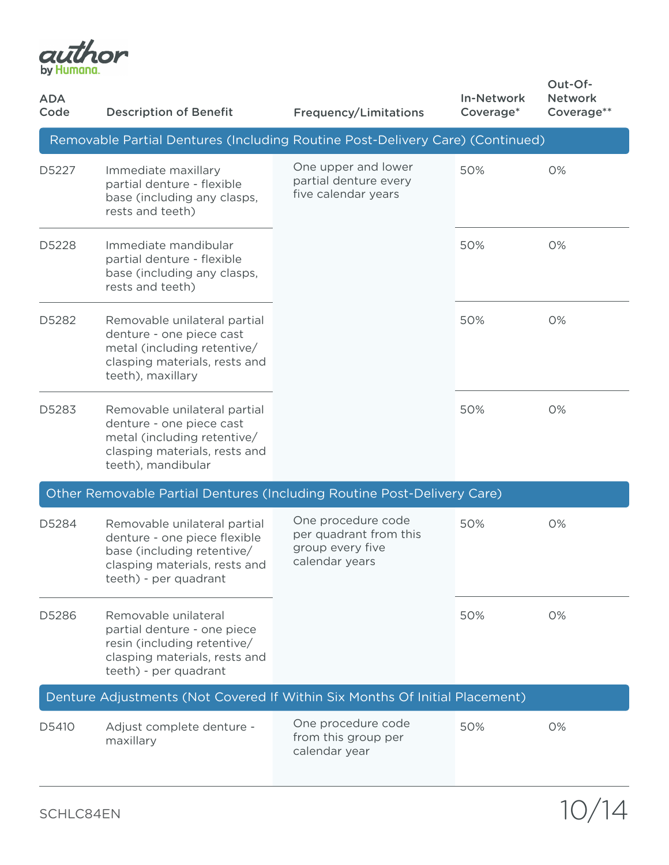

| <b>ADA</b><br>Code | <b>Description of Benefit</b>                                                                                                                        | <b>Frequency/Limitations</b>                                                       | <b>In-Network</b><br>Coverage* | Out-Of-<br><b>Network</b><br>Coverage** |
|--------------------|------------------------------------------------------------------------------------------------------------------------------------------------------|------------------------------------------------------------------------------------|--------------------------------|-----------------------------------------|
|                    | Removable Partial Dentures (Including Routine Post-Delivery Care) (Continued)                                                                        |                                                                                    |                                |                                         |
| D5227              | Immediate maxillary<br>partial denture - flexible<br>base (including any clasps,<br>rests and teeth)                                                 | One upper and lower<br>partial denture every<br>five calendar years                | 50%                            | 0%                                      |
| D5228              | Immediate mandibular<br>partial denture - flexible<br>base (including any clasps,<br>rests and teeth)                                                |                                                                                    | 50%                            | 0%                                      |
| D5282              | Removable unilateral partial<br>denture - one piece cast<br>metal (including retentive/<br>clasping materials, rests and<br>teeth), maxillary        |                                                                                    | 50%                            | 0%                                      |
| D5283              | Removable unilateral partial<br>denture - one piece cast<br>metal (including retentive/<br>clasping materials, rests and<br>teeth), mandibular       |                                                                                    | 50%                            | 0%                                      |
|                    | Other Removable Partial Dentures (Including Routine Post-Delivery Care)                                                                              |                                                                                    |                                |                                         |
| D5284              | Removable unilateral partial<br>denture - one piece flexible<br>base (including retentive/<br>clasping materials, rests and<br>teeth) - per quadrant | One procedure code<br>per quadrant from this<br>group every five<br>calendar years | 50%                            | 0%                                      |
| D5286              | Removable unilateral<br>partial denture - one piece<br>resin (including retentive/<br>clasping materials, rests and<br>teeth) - per quadrant         |                                                                                    | 50%                            | 0%                                      |
|                    | Denture Adjustments (Not Covered If Within Six Months Of Initial Placement)                                                                          |                                                                                    |                                |                                         |
| D5410              | Adjust complete denture -<br>maxillary                                                                                                               | One procedure code<br>from this group per<br>calendar year                         | 50%                            | 0%                                      |

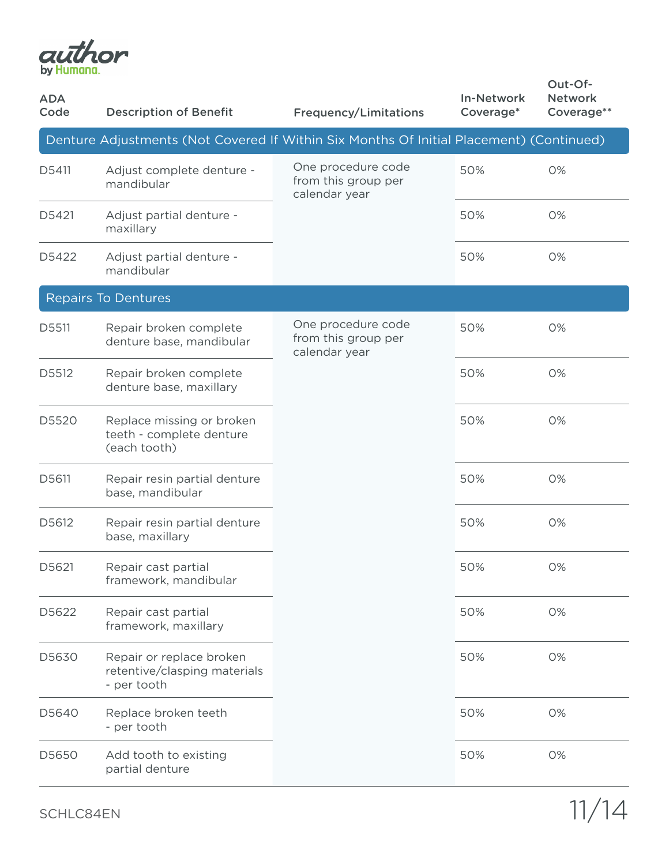

| <b>ADA</b><br>Code | <b>Description of Benefit</b>                                                           | <b>Frequency/Limitations</b>                               | <b>In-Network</b><br>Coverage* | Out-Of-<br><b>Network</b><br>Coverage** |
|--------------------|-----------------------------------------------------------------------------------------|------------------------------------------------------------|--------------------------------|-----------------------------------------|
|                    | Denture Adjustments (Not Covered If Within Six Months Of Initial Placement) (Continued) |                                                            |                                |                                         |
| D5411              | Adjust complete denture -<br>mandibular                                                 | One procedure code<br>from this group per<br>calendar year | 50%                            | 0%                                      |
| D5421              | Adjust partial denture -<br>maxillary                                                   |                                                            | 50%                            | 0%                                      |
| D5422              | Adjust partial denture -<br>mandibular                                                  |                                                            | 50%                            | 0%                                      |
|                    | <b>Repairs To Dentures</b>                                                              |                                                            |                                |                                         |
| D5511              | Repair broken complete<br>denture base, mandibular                                      | One procedure code<br>from this group per<br>calendar year | 50%                            | 0%                                      |
| D5512              | Repair broken complete<br>denture base, maxillary                                       |                                                            | 50%                            | 0%                                      |
| D5520              | Replace missing or broken<br>teeth - complete denture<br>(each tooth)                   |                                                            | 50%                            | 0%                                      |
| D5611              | Repair resin partial denture<br>base, mandibular                                        |                                                            | 50%                            | 0%                                      |
| D5612              | Repair resin partial denture<br>base, maxillary                                         |                                                            | 50%                            | 0%                                      |
| D5621              | Repair cast partial<br>framework, mandibular                                            |                                                            | 50%                            | 0%                                      |
| D5622              | Repair cast partial<br>framework, maxillary                                             |                                                            | 50%                            | 0%                                      |
| D5630              | Repair or replace broken<br>retentive/clasping materials<br>- per tooth                 |                                                            | 50%                            | 0%                                      |
| D5640              | Replace broken teeth<br>- per tooth                                                     |                                                            | 50%                            | 0%                                      |
| D5650              | Add tooth to existing<br>partial denture                                                |                                                            | 50%                            | 0%                                      |

SCHLC84EN 11/14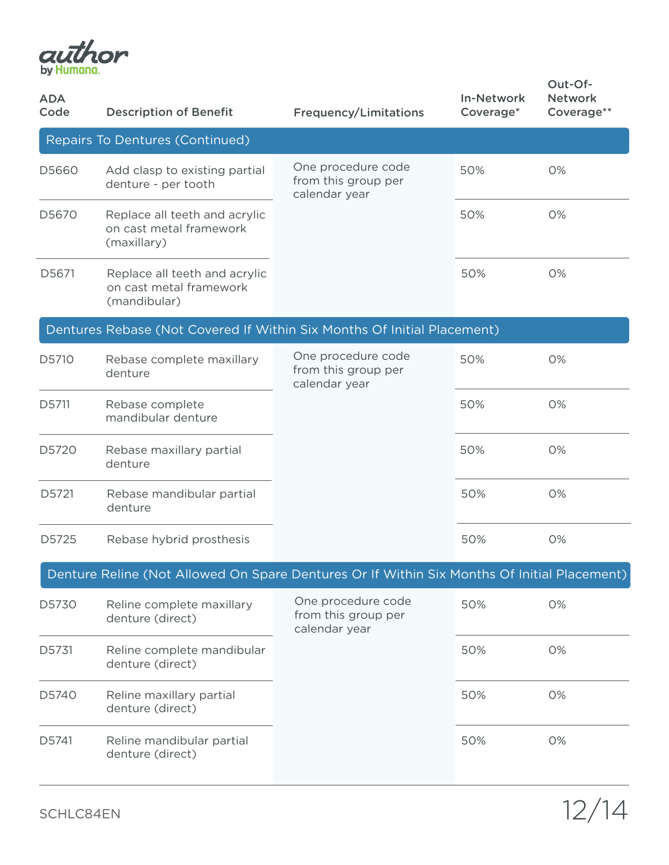

| <b>ADA</b><br>Code                                                      | <b>Description of Benefit</b>                                                               | <b>Frequency/Limitations</b>                               | <b>In-Network</b><br>Coverage* | Out-Of-<br><b>Network</b><br>Coverage** |  |  |  |
|-------------------------------------------------------------------------|---------------------------------------------------------------------------------------------|------------------------------------------------------------|--------------------------------|-----------------------------------------|--|--|--|
| Repairs To Dentures (Continued)                                         |                                                                                             |                                                            |                                |                                         |  |  |  |
| D5660                                                                   | Add clasp to existing partial<br>denture - per tooth                                        | One procedure code<br>from this group per<br>calendar year | 50%                            | 0%                                      |  |  |  |
| D5670                                                                   | Replace all teeth and acrylic<br>on cast metal framework<br>(maxillary)                     |                                                            | 50%                            | 0%                                      |  |  |  |
| D5671                                                                   | Replace all teeth and acrylic<br>on cast metal framework<br>(mandibular)                    |                                                            | 50%                            | 0%                                      |  |  |  |
| Dentures Rebase (Not Covered If Within Six Months Of Initial Placement) |                                                                                             |                                                            |                                |                                         |  |  |  |
| D5710                                                                   | Rebase complete maxillary<br>denture                                                        | One procedure code<br>from this group per<br>calendar year | 50%                            | 0%                                      |  |  |  |
| D5711                                                                   | Rebase complete<br>mandibular denture                                                       |                                                            | 50%                            | 0%                                      |  |  |  |
| D5720                                                                   | Rebase maxillary partial<br>denture                                                         |                                                            | 50%                            | 0%                                      |  |  |  |
| D5721                                                                   | Rebase mandibular partial<br>denture                                                        |                                                            | 50%                            | 0%                                      |  |  |  |
| D5725                                                                   | Rebase hybrid prosthesis                                                                    |                                                            | 50%                            | 0%                                      |  |  |  |
|                                                                         | Denture Reline (Not Allowed On Spare Dentures Or If Within Six Months Of Initial Placement) |                                                            |                                |                                         |  |  |  |
| D5730                                                                   | Reline complete maxillary<br>denture (direct)                                               | One procedure code<br>from this group per<br>calendar year | 50%                            | 0%                                      |  |  |  |
| D5731                                                                   | Reline complete mandibular<br>denture (direct)                                              |                                                            | 50%                            | 0%                                      |  |  |  |
| D5740                                                                   | Reline maxillary partial<br>denture (direct)                                                |                                                            | 50%                            | 0%                                      |  |  |  |
| D5741                                                                   | Reline mandibular partial<br>denture (direct)                                               |                                                            | 50%                            | 0%                                      |  |  |  |

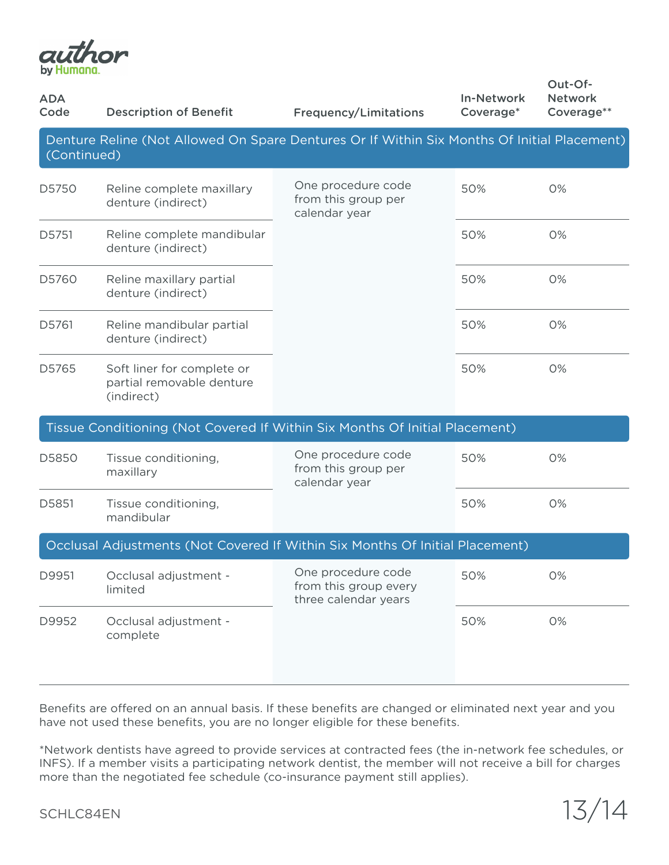

| <b>ADA</b><br>Code                                                                                         | <b>Description of Benefit</b>                                         | <b>Frequency/Limitations</b>                                        | <b>In-Network</b><br>Coverage* | Out-Of-<br><b>Network</b><br>Coverage** |  |  |  |  |
|------------------------------------------------------------------------------------------------------------|-----------------------------------------------------------------------|---------------------------------------------------------------------|--------------------------------|-----------------------------------------|--|--|--|--|
| Denture Reline (Not Allowed On Spare Dentures Or If Within Six Months Of Initial Placement)<br>(Continued) |                                                                       |                                                                     |                                |                                         |  |  |  |  |
| D5750                                                                                                      | Reline complete maxillary<br>denture (indirect)                       | One procedure code<br>from this group per<br>calendar year          | 50%                            | 0%                                      |  |  |  |  |
| D5751                                                                                                      | Reline complete mandibular<br>denture (indirect)                      |                                                                     | 50%                            | 0%                                      |  |  |  |  |
| D5760                                                                                                      | Reline maxillary partial<br>denture (indirect)                        |                                                                     | 50%                            | 0%                                      |  |  |  |  |
| D5761                                                                                                      | Reline mandibular partial<br>denture (indirect)                       |                                                                     | 50%                            | 0%                                      |  |  |  |  |
| D5765                                                                                                      | Soft liner for complete or<br>partial removable denture<br>(indirect) |                                                                     | 50%                            | 0%                                      |  |  |  |  |
| Tissue Conditioning (Not Covered If Within Six Months Of Initial Placement)                                |                                                                       |                                                                     |                                |                                         |  |  |  |  |
| D5850                                                                                                      | Tissue conditioning,<br>maxillary                                     | One procedure code<br>from this group per<br>calendar year          | 50%                            | 0%                                      |  |  |  |  |
| D5851                                                                                                      | Tissue conditioning,<br>mandibular                                    |                                                                     | 50%                            | 0%                                      |  |  |  |  |
| Occlusal Adjustments (Not Covered If Within Six Months Of Initial Placement)                               |                                                                       |                                                                     |                                |                                         |  |  |  |  |
| D9951                                                                                                      | Occlusal adjustment -<br>limited                                      | One procedure code<br>from this group every<br>three calendar years | 50%                            | 0%                                      |  |  |  |  |
| D9952                                                                                                      | Occlusal adjustment -<br>complete                                     |                                                                     | 50%                            | 0%                                      |  |  |  |  |

Benefits are offered on an annual basis. If these benefits are changed or eliminated next year and you have not used these benefits, you are no longer eligible for these benefits.

\*Network dentists have agreed to provide services at contracted fees (the in-network fee schedules, or INFS). If a member visits a participating network dentist, the member will not receive a bill for charges more than the negotiated fee schedule (co-insurance payment still applies).